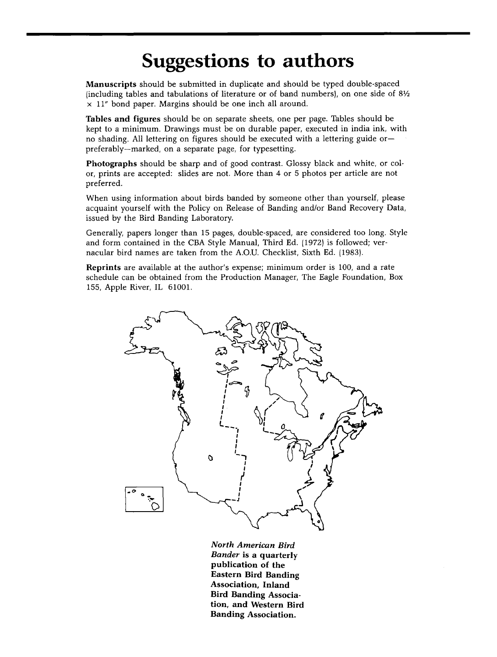## **Suggestions to authors**

**Manuscripts** should be submitted in duplicate and should be typed double-spaced **lincluding tables and tabulations of literature or of band numbers), on one side of 81/2 x 11" bond paper. Margins should be one inch all around.** 

**Tables and figures should be on separate sheets, one per page. Tables should be kept to a minimum. Drawings must be on durable paper, executed in india ink, with**  no shading. All lettering on figures should be executed with a lettering guide or**preferably--marked, on a separate page, for typesetting.** 

**Photographs should be sharp and of good contrast. Glossy black and white, or color, prints are accepted: slides are not. More than 4 or 5 photos per article are not preferred.** 

**When using information about birds banded by someone other than yourself, please acquaint yourself with the Policy on Release of Banding and/or Band Recovery Data, issued by the Bird Banding Laboratory.** 

**Generally, papers longer than 15 pages, double-spaced, are considered too long. Style and form contained in the CBA Style Manual, Third Ed. 11972) is followed; vernacular bird names are taken from the A.O.U. Checklist, Sixth Ed. 11983).** 

**Reprints are available at the author's expense; minimum order is 100, and a rate schedule can be obtained from the Production Manager, The Eagle Foundation, Box 155, Apple River, IL 61001.** 



**North American Bird Bander is a quarterly publication of the Eastern Bird Banding Association, Inland Bird Banding Association, and Western Bird Banding Association.**